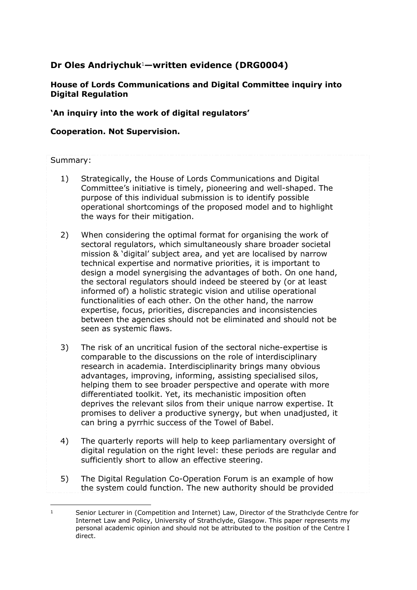# **Dr Oles Andriychuk**1**—written evidence (DRG0004)**

# **House of Lords Communications and Digital Committee inquiry into Digital Regulation**

# **'An inquiry into the work of digital regulators'**

# **Cooperation. Not Supervision.**

#### Summary:

- 1) Strategically, the House of Lords Communications and Digital Committee's initiative is timely, pioneering and well-shaped. The purpose of this individual submission is to identify possible operational shortcomings of the proposed model and to highlight the ways for their mitigation.
- 2) When considering the optimal format for organising the work of sectoral regulators, which simultaneously share broader societal mission & 'digital' subject area, and yet are localised by narrow technical expertise and normative priorities, it is important to design a model synergising the advantages of both. On one hand, the sectoral regulators should indeed be steered by (or at least informed of) a holistic strategic vision and utilise operational functionalities of each other. On the other hand, the narrow expertise, focus, priorities, discrepancies and inconsistencies between the agencies should not be eliminated and should not be seen as systemic flaws.
- 3) The risk of an uncritical fusion of the sectoral niche-expertise is comparable to the discussions on the role of interdisciplinary research in academia. Interdisciplinarity brings many obvious advantages, improving, informing, assisting specialised silos, helping them to see broader perspective and operate with more differentiated toolkit. Yet, its mechanistic imposition often deprives the relevant silos from their unique narrow expertise. It promises to deliver a productive synergy, but when unadjusted, it can bring a pyrrhic success of the Towel of Babel.
- 4) The quarterly reports will help to keep parliamentary oversight of digital regulation on the right level: these periods are regular and sufficiently short to allow an effective steering.
- 5) The Digital Regulation Co-Operation Forum is an example of how the system could function. The new authority should be provided

<sup>1</sup> Senior Lecturer in (Competition and Internet) Law, Director of the Strathclyde Centre for Internet Law and Policy, University of Strathclyde, Glasgow. This paper represents my personal academic opinion and should not be attributed to the position of the Centre I direct.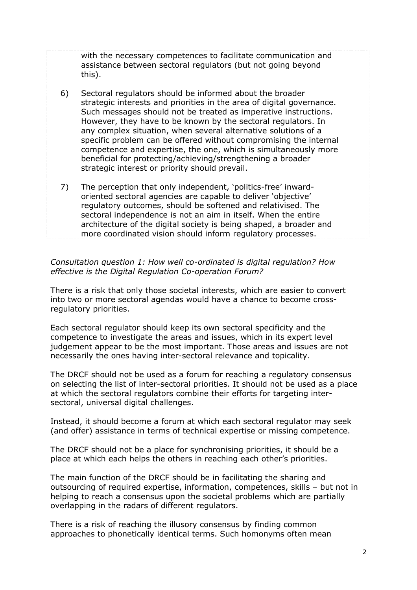with the necessary competences to facilitate communication and assistance between sectoral regulators (but not going beyond this).

- 6) Sectoral regulators should be informed about the broader strategic interests and priorities in the area of digital governance. Such messages should not be treated as imperative instructions. However, they have to be known by the sectoral regulators. In any complex situation, when several alternative solutions of a specific problem can be offered without compromising the internal competence and expertise, the one, which is simultaneously more beneficial for protecting/achieving/strengthening a broader strategic interest or priority should prevail.
- 7) The perception that only independent, 'politics-free' inwardoriented sectoral agencies are capable to deliver 'objective' regulatory outcomes, should be softened and relativised. The sectoral independence is not an aim in itself. When the entire architecture of the digital society is being shaped, a broader and more coordinated vision should inform regulatory processes.

### *Consultation question 1: How well co-ordinated is digital regulation? How effective is the Digital Regulation Co-operation Forum?*

There is a risk that only those societal interests, which are easier to convert into two or more sectoral agendas would have a chance to become crossregulatory priorities.

Each sectoral regulator should keep its own sectoral specificity and the competence to investigate the areas and issues, which in its expert level judgement appear to be the most important. Those areas and issues are not necessarily the ones having inter-sectoral relevance and topicality.

The DRCF should not be used as a forum for reaching a regulatory consensus on selecting the list of inter-sectoral priorities. It should not be used as a place at which the sectoral regulators combine their efforts for targeting intersectoral, universal digital challenges.

Instead, it should become a forum at which each sectoral regulator may seek (and offer) assistance in terms of technical expertise or missing competence.

The DRCF should not be a place for synchronising priorities, it should be a place at which each helps the others in reaching each other's priorities.

The main function of the DRCF should be in facilitating the sharing and outsourcing of required expertise, information, competences, skills – but not in helping to reach a consensus upon the societal problems which are partially overlapping in the radars of different regulators.

There is a risk of reaching the illusory consensus by finding common approaches to phonetically identical terms. Such homonyms often mean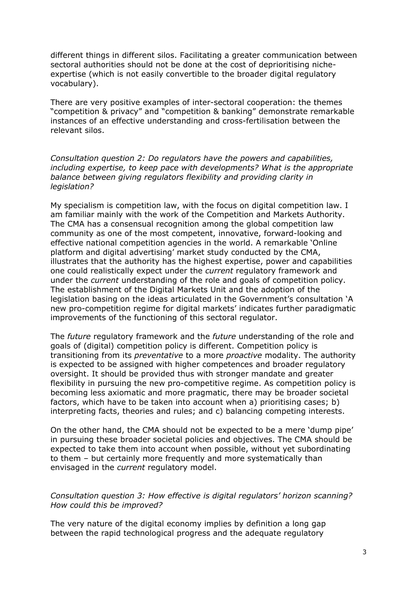different things in different silos. Facilitating a greater communication between sectoral authorities should not be done at the cost of deprioritising nicheexpertise (which is not easily convertible to the broader digital regulatory vocabulary).

There are very positive examples of inter-sectoral cooperation: the themes "competition & privacy" and "competition & banking" demonstrate remarkable instances of an effective understanding and cross-fertilisation between the relevant silos.

*Consultation question 2: Do regulators have the powers and capabilities, including expertise, to keep pace with developments? What is the appropriate balance between giving regulators flexibility and providing clarity in legislation?*

My specialism is competition law, with the focus on digital competition law. I am familiar mainly with the work of the Competition and Markets Authority. The CMA has a consensual recognition among the global competition law community as one of the most competent, innovative, forward-looking and effective national competition agencies in the world. A remarkable 'Online platform and digital advertising' market study conducted by the CMA, illustrates that the authority has the highest expertise, power and capabilities one could realistically expect under the *current* regulatory framework and under the *current* understanding of the role and goals of competition policy. The establishment of the Digital Markets Unit and the adoption of the legislation basing on the ideas articulated in the Government's consultation 'A new pro-competition regime for digital markets' indicates further paradigmatic improvements of the functioning of this sectoral regulator.

The *future* regulatory framework and the *future* understanding of the role and goals of (digital) competition policy is different. Competition policy is transitioning from its *preventative* to a more *proactive* modality. The authority is expected to be assigned with higher competences and broader regulatory oversight. It should be provided thus with stronger mandate and greater flexibility in pursuing the new pro-competitive regime. As competition policy is becoming less axiomatic and more pragmatic, there may be broader societal factors, which have to be taken into account when a) prioritising cases; b) interpreting facts, theories and rules; and c) balancing competing interests.

On the other hand, the CMA should not be expected to be a mere 'dump pipe' in pursuing these broader societal policies and objectives. The CMA should be expected to take them into account when possible, without yet subordinating to them – but certainly more frequently and more systematically than envisaged in the *current* regulatory model.

*Consultation question 3: How effective is digital regulators' horizon scanning? How could this be improved?*

The very nature of the digital economy implies by definition a long gap between the rapid technological progress and the adequate regulatory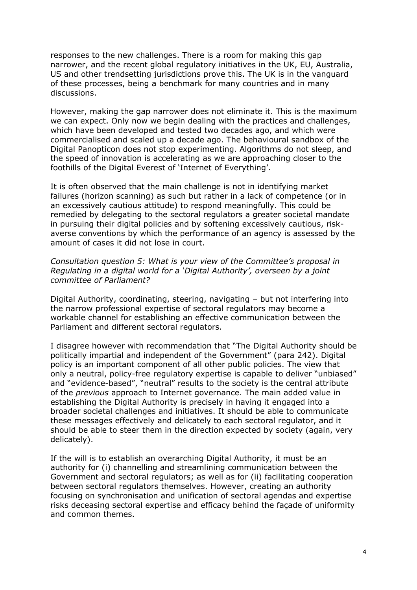responses to the new challenges. There is a room for making this gap narrower, and the recent global regulatory initiatives in the UK, EU, Australia, US and other trendsetting jurisdictions prove this. The UK is in the vanguard of these processes, being a benchmark for many countries and in many discussions.

However, making the gap narrower does not eliminate it. This is the maximum we can expect. Only now we begin dealing with the practices and challenges, which have been developed and tested two decades ago, and which were commercialised and scaled up a decade ago. The behavioural sandbox of the Digital Panopticon does not stop experimenting. Algorithms do not sleep, and the speed of innovation is accelerating as we are approaching closer to the foothills of the Digital Everest of 'Internet of Everything'.

It is often observed that the main challenge is not in identifying market failures (horizon scanning) as such but rather in a lack of competence (or in an excessively cautious attitude) to respond meaningfully. This could be remedied by delegating to the sectoral regulators a greater societal mandate in pursuing their digital policies and by softening excessively cautious, riskaverse conventions by which the performance of an agency is assessed by the amount of cases it did not lose in court.

*Consultation question 5: What is your view of the Committee's proposal in Regulating in a digital world for a 'Digital Authority', overseen by a joint committee of Parliament?*

Digital Authority, coordinating, steering, navigating – but not interfering into the narrow professional expertise of sectoral regulators may become a workable channel for establishing an effective communication between the Parliament and different sectoral regulators.

I disagree however with recommendation that "The Digital Authority should be politically impartial and independent of the Government" (para 242). Digital policy is an important component of all other public policies. The view that only a neutral, policy-free regulatory expertise is capable to deliver "unbiased" and "evidence-based", "neutral" results to the society is the central attribute of the *previous* approach to Internet governance. The main added value in establishing the Digital Authority is precisely in having it engaged into a broader societal challenges and initiatives. It should be able to communicate these messages effectively and delicately to each sectoral regulator, and it should be able to steer them in the direction expected by society (again, very delicately).

If the will is to establish an overarching Digital Authority, it must be an authority for (i) channelling and streamlining communication between the Government and sectoral regulators; as well as for (ii) facilitating cooperation between sectoral regulators themselves. However, creating an authority focusing on synchronisation and unification of sectoral agendas and expertise risks deceasing sectoral expertise and efficacy behind the façade of uniformity and common themes.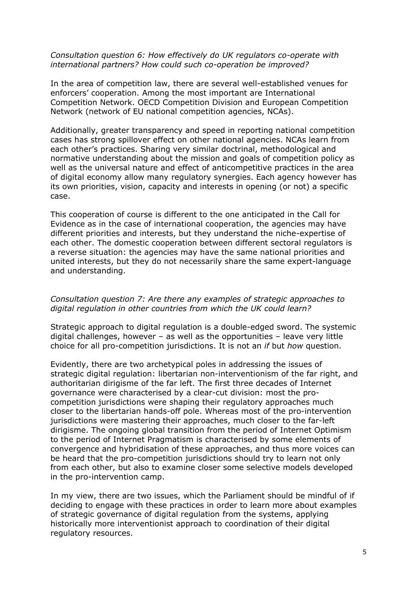#### *Consultation question 6: How effectively do UK regulators co-operate with international partners? How could such co-operation be improved?*

In the area of competition law, there are several well-established venues for enforcers' cooperation. Among the most important are International Competition Network. OECD Competition Division and European Competition Network (network of EU national competition agencies, NCAs).

Additionally, greater transparency and speed in reporting national competition cases has strong spillover effect on other national agencies. NCAs learn from each other's practices. Sharing very similar doctrinal, methodological and normative understanding about the mission and goals of competition policy as well as the universal nature and effect of anticompetitive practices in the area of digital economy allow many regulatory synergies. Each agency however has its own priorities, vision, capacity and interests in opening (or not) a specific case.

This cooperation of course is different to the one anticipated in the Call for Evidence as in the case of international cooperation, the agencies may have different priorities and interests, but they understand the niche-expertise of each other. The domestic cooperation between different sectoral regulators is a reverse situation: the agencies may have the same national priorities and united interests, but they do not necessarily share the same expert-language and understanding.

### *Consultation question 7: Are there any examples of strategic approaches to digital regulation in other countries from which the UK could learn?*

Strategic approach to digital regulation is a double-edged sword. The systemic digital challenges, however – as well as the opportunities – leave very little choice for all pro-competition jurisdictions. It is not an *if* but *how* question.

Evidently, there are two archetypical poles in addressing the issues of strategic digital regulation: libertarian non-interventionism of the far right, and authoritarian dirigisme of the far left. The first three decades of Internet governance were characterised by a clear-cut division: most the procompetition jurisdictions were shaping their regulatory approaches much closer to the libertarian hands-off pole. Whereas most of the pro-intervention jurisdictions were mastering their approaches, much closer to the far-left dirigisme. The ongoing global transition from the period of Internet Optimism to the period of Internet Pragmatism is characterised by some elements of convergence and hybridisation of these approaches, and thus more voices can be heard that the pro-competition jurisdictions should try to learn not only from each other, but also to examine closer some selective models developed in the pro-intervention camp.

In my view, there are two issues, which the Parliament should be mindful of if deciding to engage with these practices in order to learn more about examples of strategic governance of digital regulation from the systems, applying historically more interventionist approach to coordination of their digital regulatory resources.